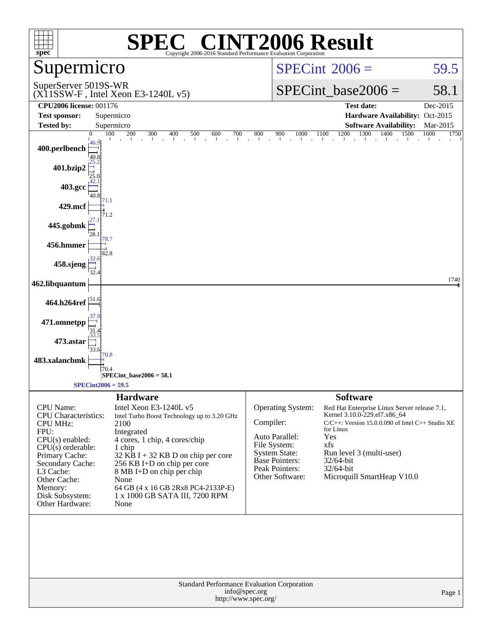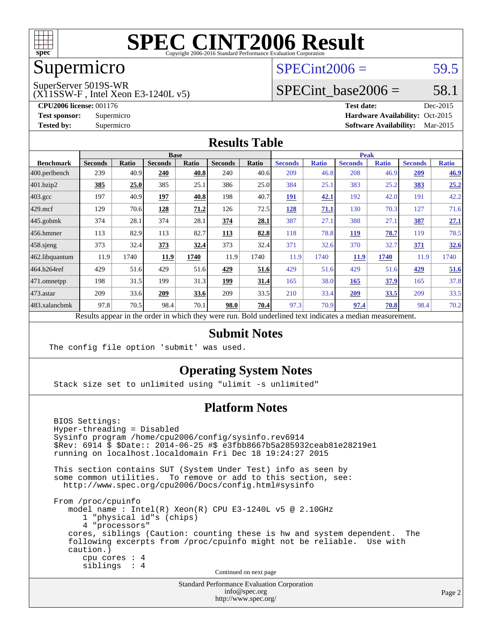

## Supermicro

### $SPECint2006 = 59.5$  $SPECint2006 = 59.5$

SuperServer 5019S-WR

(X11SSW-F , Intel Xeon E3-1240L v5)

SPECint base2006 =  $58.1$ 

**[CPU2006 license:](http://www.spec.org/auto/cpu2006/Docs/result-fields.html#CPU2006license)** 001176 **[Test date:](http://www.spec.org/auto/cpu2006/Docs/result-fields.html#Testdate)** Dec-2015 **[Test sponsor:](http://www.spec.org/auto/cpu2006/Docs/result-fields.html#Testsponsor)** Supermicro Supermicro **[Hardware Availability:](http://www.spec.org/auto/cpu2006/Docs/result-fields.html#HardwareAvailability)** Oct-2015 **[Tested by:](http://www.spec.org/auto/cpu2006/Docs/result-fields.html#Testedby)** Supermicro **Supermicro [Software Availability:](http://www.spec.org/auto/cpu2006/Docs/result-fields.html#SoftwareAvailability)** Mar-2015

#### **[Results Table](http://www.spec.org/auto/cpu2006/Docs/result-fields.html#ResultsTable)**

|                  | <b>Base</b>    |       |                                                                                                          |       |                | <b>Peak</b> |                |              |                |              |                |              |
|------------------|----------------|-------|----------------------------------------------------------------------------------------------------------|-------|----------------|-------------|----------------|--------------|----------------|--------------|----------------|--------------|
| <b>Benchmark</b> | <b>Seconds</b> | Ratio | <b>Seconds</b>                                                                                           | Ratio | <b>Seconds</b> | Ratio       | <b>Seconds</b> | <b>Ratio</b> | <b>Seconds</b> | <b>Ratio</b> | <b>Seconds</b> | <b>Ratio</b> |
| 400.perlbench    | 239            | 40.9  | 240                                                                                                      | 40.8  | 240            | 40.6        | 209            | 46.8         | 208            | 46.9         | 209            | 46.9         |
| 401.bzip2        | 385            | 25.0  | 385                                                                                                      | 25.1  | 386            | 25.0        | 384            | 25.1         | 383            | 25.2         | 383            | 25.2         |
| $403.\text{gcc}$ | 197            | 40.9  | 197                                                                                                      | 40.8  | 198            | 40.7        | <b>191</b>     | 42.1         | 192            | 42.0         | 191            | 42.2         |
| $429$ .mcf       | 129            | 70.6  | 128                                                                                                      | 71.2  | 126            | 72.5        | 128            | 71.1         | 130            | 70.3         | 127            | 71.6         |
| $445$ .gobmk     | 374            | 28.1  | 374                                                                                                      | 28.1  | 374            | 28.1        | 387            | 27.1         | 388            | 27.1         | 387            | 27.1         |
| 456.hmmer        | 113            | 82.9  | 113                                                                                                      | 82.7  | 113            | 82.8        | 118            | 78.8         | <b>119</b>     | 78.7         | 119            | 78.5         |
| $458$ .sjeng     | 373            | 32.4  | 373                                                                                                      | 32.4  | 373            | 32.4        | 371            | 32.6         | 370            | 32.7         | 371            | 32.6         |
| 462.libquantum   | 11.9           | 1740  | 11.9                                                                                                     | 1740  | 11.9           | 1740        | 11.9           | 1740         | 11.9           | 1740         | 11.9           | 1740         |
| 464.h264ref      | 429            | 51.6  | 429                                                                                                      | 51.6  | 429            | 51.6        | 429            | 51.6         | 429            | 51.6         | 429            | 51.6         |
| $ 471$ .omnetpp  | 198            | 31.5  | 199                                                                                                      | 31.3  | 199            | 31.4        | 165            | 38.0         | 165            | 37.9         | 165            | 37.8         |
| $473$ . astar    | 209            | 33.6  | 209                                                                                                      | 33.6  | 209            | 33.5        | 210            | 33.4         | 209            | 33.5         | 209            | 33.5         |
| 483.xalancbmk    | 97.8           | 70.5  | 98.4                                                                                                     | 70.1  | 98.0           | 70.4        | 97.3           | 70.9         | 97.4           | 70.8         | 98.4           | 70.2         |
|                  |                |       | Results appear in the order in which they were run. Bold underlined text indicates a median measurement. |       |                |             |                |              |                |              |                |              |

#### **[Submit Notes](http://www.spec.org/auto/cpu2006/Docs/result-fields.html#SubmitNotes)**

The config file option 'submit' was used.

#### **[Operating System Notes](http://www.spec.org/auto/cpu2006/Docs/result-fields.html#OperatingSystemNotes)**

Stack size set to unlimited using "ulimit -s unlimited"

#### **[Platform Notes](http://www.spec.org/auto/cpu2006/Docs/result-fields.html#PlatformNotes)**

 BIOS Settings: Hyper-threading = Disabled Sysinfo program /home/cpu2006/config/sysinfo.rev6914 \$Rev: 6914 \$ \$Date:: 2014-06-25 #\$ e3fbb8667b5a285932ceab81e28219e1 running on localhost.localdomain Fri Dec 18 19:24:27 2015 This section contains SUT (System Under Test) info as seen by some common utilities. To remove or add to this section, see: <http://www.spec.org/cpu2006/Docs/config.html#sysinfo> From /proc/cpuinfo model name : Intel(R) Xeon(R) CPU E3-1240L v5 @ 2.10GHz 1 "physical id"s (chips) 4 "processors" cores, siblings (Caution: counting these is hw and system dependent. The following excerpts from /proc/cpuinfo might not be reliable. Use with caution.) cpu cores : 4 siblings : 4 Continued on next page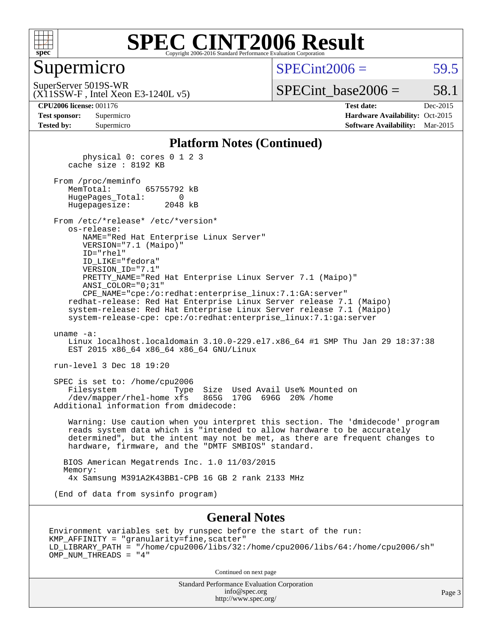

#### **[SPEC CINT2006 Result](http://www.spec.org/auto/cpu2006/Docs/result-fields.html#SPECCINT2006Result)** Copyright 2006-2016 Standard Performance Evaluation C

#### Supermicro

 $SPECint2006 = 59.5$  $SPECint2006 = 59.5$ 

(X11SSW-F , Intel Xeon E3-1240L v5) SuperServer 5019S-WR

 $SPECTnt\_base2006 = 58.1$ 

| <b>Test sponsor:</b> | Supermicro |
|----------------------|------------|
| <b>Tested by:</b>    | Supermicro |

**[CPU2006 license:](http://www.spec.org/auto/cpu2006/Docs/result-fields.html#CPU2006license)** 001176 **[Test date:](http://www.spec.org/auto/cpu2006/Docs/result-fields.html#Testdate)** Dec-2015 **[Hardware Availability:](http://www.spec.org/auto/cpu2006/Docs/result-fields.html#HardwareAvailability)** Oct-2015 **[Software Availability:](http://www.spec.org/auto/cpu2006/Docs/result-fields.html#SoftwareAvailability)** Mar-2015

#### **[Platform Notes \(Continued\)](http://www.spec.org/auto/cpu2006/Docs/result-fields.html#PlatformNotes)**

 physical 0: cores 0 1 2 3 cache size : 8192 KB

 From /proc/meminfo MemTotal: 65755792 kB HugePages\_Total: 0 Hugepagesize: 2048 kB

 From /etc/\*release\* /etc/\*version\* os-release: NAME="Red Hat Enterprise Linux Server" VERSION="7.1 (Maipo)"

 ID="rhel" ID\_LIKE="fedora" VERSION\_ID="7.1" PRETTY\_NAME="Red Hat Enterprise Linux Server 7.1 (Maipo)" ANSI\_COLOR="0;31" CPE\_NAME="cpe:/o:redhat:enterprise\_linux:7.1:GA:server"

 redhat-release: Red Hat Enterprise Linux Server release 7.1 (Maipo) system-release: Red Hat Enterprise Linux Server release 7.1 (Maipo) system-release-cpe: cpe:/o:redhat:enterprise\_linux:7.1:ga:server

uname -a:

 Linux localhost.localdomain 3.10.0-229.el7.x86\_64 #1 SMP Thu Jan 29 18:37:38 EST 2015 x86 64 x86 64 x86 64 GNU/Linux

run-level 3 Dec 18 19:20

 SPEC is set to: /home/cpu2006 Filesystem Type Size Used Avail Use% Mounted on /dev/mapper/rhel-home xfs 865G 170G 696G 20% /home Additional information from dmidecode:

 Warning: Use caution when you interpret this section. The 'dmidecode' program reads system data which is "intended to allow hardware to be accurately determined", but the intent may not be met, as there are frequent changes to hardware, firmware, and the "DMTF SMBIOS" standard.

 BIOS American Megatrends Inc. 1.0 11/03/2015 Memory: 4x Samsung M391A2K43BB1-CPB 16 GB 2 rank 2133 MHz

(End of data from sysinfo program)

#### **[General Notes](http://www.spec.org/auto/cpu2006/Docs/result-fields.html#GeneralNotes)**

Environment variables set by runspec before the start of the run: KMP\_AFFINITY = "granularity=fine,scatter" LD\_LIBRARY\_PATH = "/home/cpu2006/libs/32:/home/cpu2006/libs/64:/home/cpu2006/sh" OMP\_NUM\_THREADS = "4"

Continued on next page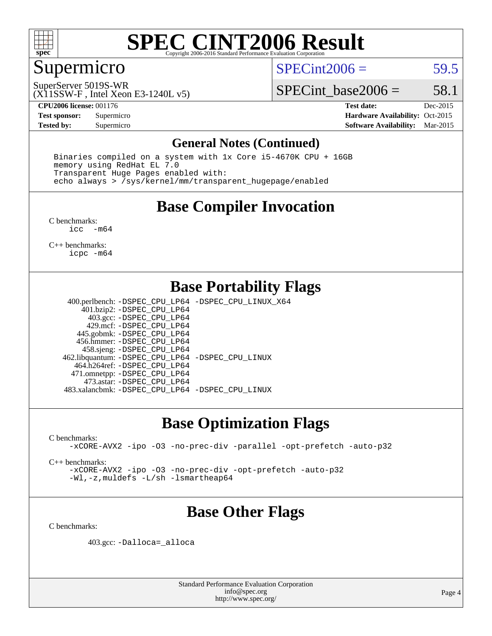

## Supermicro

 $SPECint2006 = 59.5$  $SPECint2006 = 59.5$ 

(X11SSW-F , Intel Xeon E3-1240L v5) SuperServer 5019S-WR

SPECint base2006 =  $58.1$ 

**[CPU2006 license:](http://www.spec.org/auto/cpu2006/Docs/result-fields.html#CPU2006license)** 001176 **[Test date:](http://www.spec.org/auto/cpu2006/Docs/result-fields.html#Testdate)** Dec-2015 **[Test sponsor:](http://www.spec.org/auto/cpu2006/Docs/result-fields.html#Testsponsor)** Supermicro Supermicro **[Hardware Availability:](http://www.spec.org/auto/cpu2006/Docs/result-fields.html#HardwareAvailability)** Oct-2015 **[Tested by:](http://www.spec.org/auto/cpu2006/Docs/result-fields.html#Testedby)** Supermicro **Supermicro [Software Availability:](http://www.spec.org/auto/cpu2006/Docs/result-fields.html#SoftwareAvailability)** Mar-2015

#### **[General Notes \(Continued\)](http://www.spec.org/auto/cpu2006/Docs/result-fields.html#GeneralNotes)**

 Binaries compiled on a system with 1x Core i5-4670K CPU + 16GB memory using RedHat EL 7.0 Transparent Huge Pages enabled with: echo always > /sys/kernel/mm/transparent\_hugepage/enabled

### **[Base Compiler Invocation](http://www.spec.org/auto/cpu2006/Docs/result-fields.html#BaseCompilerInvocation)**

[C benchmarks](http://www.spec.org/auto/cpu2006/Docs/result-fields.html#Cbenchmarks): [icc -m64](http://www.spec.org/cpu2006/results/res2016q1/cpu2006-20151223-38504.flags.html#user_CCbase_intel_icc_64bit_f346026e86af2a669e726fe758c88044)

[C++ benchmarks:](http://www.spec.org/auto/cpu2006/Docs/result-fields.html#CXXbenchmarks) [icpc -m64](http://www.spec.org/cpu2006/results/res2016q1/cpu2006-20151223-38504.flags.html#user_CXXbase_intel_icpc_64bit_fc66a5337ce925472a5c54ad6a0de310)

## **[Base Portability Flags](http://www.spec.org/auto/cpu2006/Docs/result-fields.html#BasePortabilityFlags)**

 400.perlbench: [-DSPEC\\_CPU\\_LP64](http://www.spec.org/cpu2006/results/res2016q1/cpu2006-20151223-38504.flags.html#b400.perlbench_basePORTABILITY_DSPEC_CPU_LP64) [-DSPEC\\_CPU\\_LINUX\\_X64](http://www.spec.org/cpu2006/results/res2016q1/cpu2006-20151223-38504.flags.html#b400.perlbench_baseCPORTABILITY_DSPEC_CPU_LINUX_X64) 401.bzip2: [-DSPEC\\_CPU\\_LP64](http://www.spec.org/cpu2006/results/res2016q1/cpu2006-20151223-38504.flags.html#suite_basePORTABILITY401_bzip2_DSPEC_CPU_LP64) 403.gcc: [-DSPEC\\_CPU\\_LP64](http://www.spec.org/cpu2006/results/res2016q1/cpu2006-20151223-38504.flags.html#suite_basePORTABILITY403_gcc_DSPEC_CPU_LP64) 429.mcf: [-DSPEC\\_CPU\\_LP64](http://www.spec.org/cpu2006/results/res2016q1/cpu2006-20151223-38504.flags.html#suite_basePORTABILITY429_mcf_DSPEC_CPU_LP64) 445.gobmk: [-DSPEC\\_CPU\\_LP64](http://www.spec.org/cpu2006/results/res2016q1/cpu2006-20151223-38504.flags.html#suite_basePORTABILITY445_gobmk_DSPEC_CPU_LP64) 456.hmmer: [-DSPEC\\_CPU\\_LP64](http://www.spec.org/cpu2006/results/res2016q1/cpu2006-20151223-38504.flags.html#suite_basePORTABILITY456_hmmer_DSPEC_CPU_LP64) 458.sjeng: [-DSPEC\\_CPU\\_LP64](http://www.spec.org/cpu2006/results/res2016q1/cpu2006-20151223-38504.flags.html#suite_basePORTABILITY458_sjeng_DSPEC_CPU_LP64) 462.libquantum: [-DSPEC\\_CPU\\_LP64](http://www.spec.org/cpu2006/results/res2016q1/cpu2006-20151223-38504.flags.html#suite_basePORTABILITY462_libquantum_DSPEC_CPU_LP64) [-DSPEC\\_CPU\\_LINUX](http://www.spec.org/cpu2006/results/res2016q1/cpu2006-20151223-38504.flags.html#b462.libquantum_baseCPORTABILITY_DSPEC_CPU_LINUX) 464.h264ref: [-DSPEC\\_CPU\\_LP64](http://www.spec.org/cpu2006/results/res2016q1/cpu2006-20151223-38504.flags.html#suite_basePORTABILITY464_h264ref_DSPEC_CPU_LP64) 471.omnetpp: [-DSPEC\\_CPU\\_LP64](http://www.spec.org/cpu2006/results/res2016q1/cpu2006-20151223-38504.flags.html#suite_basePORTABILITY471_omnetpp_DSPEC_CPU_LP64) 473.astar: [-DSPEC\\_CPU\\_LP64](http://www.spec.org/cpu2006/results/res2016q1/cpu2006-20151223-38504.flags.html#suite_basePORTABILITY473_astar_DSPEC_CPU_LP64) 483.xalancbmk: [-DSPEC\\_CPU\\_LP64](http://www.spec.org/cpu2006/results/res2016q1/cpu2006-20151223-38504.flags.html#suite_basePORTABILITY483_xalancbmk_DSPEC_CPU_LP64) [-DSPEC\\_CPU\\_LINUX](http://www.spec.org/cpu2006/results/res2016q1/cpu2006-20151223-38504.flags.html#b483.xalancbmk_baseCXXPORTABILITY_DSPEC_CPU_LINUX)

### **[Base Optimization Flags](http://www.spec.org/auto/cpu2006/Docs/result-fields.html#BaseOptimizationFlags)**

[C benchmarks](http://www.spec.org/auto/cpu2006/Docs/result-fields.html#Cbenchmarks):

[-xCORE-AVX2](http://www.spec.org/cpu2006/results/res2016q1/cpu2006-20151223-38504.flags.html#user_CCbase_f-xAVX2_5f5fc0cbe2c9f62c816d3e45806c70d7) [-ipo](http://www.spec.org/cpu2006/results/res2016q1/cpu2006-20151223-38504.flags.html#user_CCbase_f-ipo) [-O3](http://www.spec.org/cpu2006/results/res2016q1/cpu2006-20151223-38504.flags.html#user_CCbase_f-O3) [-no-prec-div](http://www.spec.org/cpu2006/results/res2016q1/cpu2006-20151223-38504.flags.html#user_CCbase_f-no-prec-div) [-parallel](http://www.spec.org/cpu2006/results/res2016q1/cpu2006-20151223-38504.flags.html#user_CCbase_f-parallel) [-opt-prefetch](http://www.spec.org/cpu2006/results/res2016q1/cpu2006-20151223-38504.flags.html#user_CCbase_f-opt-prefetch) [-auto-p32](http://www.spec.org/cpu2006/results/res2016q1/cpu2006-20151223-38504.flags.html#user_CCbase_f-auto-p32)

[C++ benchmarks:](http://www.spec.org/auto/cpu2006/Docs/result-fields.html#CXXbenchmarks)

[-xCORE-AVX2](http://www.spec.org/cpu2006/results/res2016q1/cpu2006-20151223-38504.flags.html#user_CXXbase_f-xAVX2_5f5fc0cbe2c9f62c816d3e45806c70d7) [-ipo](http://www.spec.org/cpu2006/results/res2016q1/cpu2006-20151223-38504.flags.html#user_CXXbase_f-ipo) [-O3](http://www.spec.org/cpu2006/results/res2016q1/cpu2006-20151223-38504.flags.html#user_CXXbase_f-O3) [-no-prec-div](http://www.spec.org/cpu2006/results/res2016q1/cpu2006-20151223-38504.flags.html#user_CXXbase_f-no-prec-div) [-opt-prefetch](http://www.spec.org/cpu2006/results/res2016q1/cpu2006-20151223-38504.flags.html#user_CXXbase_f-opt-prefetch) [-auto-p32](http://www.spec.org/cpu2006/results/res2016q1/cpu2006-20151223-38504.flags.html#user_CXXbase_f-auto-p32) [-Wl,-z,muldefs](http://www.spec.org/cpu2006/results/res2016q1/cpu2006-20151223-38504.flags.html#user_CXXbase_link_force_multiple1_74079c344b956b9658436fd1b6dd3a8a) [-L/sh -lsmartheap64](http://www.spec.org/cpu2006/results/res2016q1/cpu2006-20151223-38504.flags.html#user_CXXbase_SmartHeap64_ed4ef857ce90951921efb0d91eb88472)

## **[Base Other Flags](http://www.spec.org/auto/cpu2006/Docs/result-fields.html#BaseOtherFlags)**

[C benchmarks](http://www.spec.org/auto/cpu2006/Docs/result-fields.html#Cbenchmarks):

403.gcc: [-Dalloca=\\_alloca](http://www.spec.org/cpu2006/results/res2016q1/cpu2006-20151223-38504.flags.html#b403.gcc_baseEXTRA_CFLAGS_Dalloca_be3056838c12de2578596ca5467af7f3)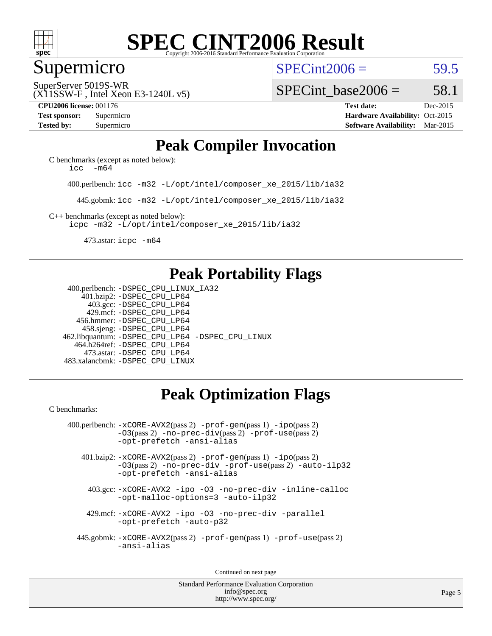

#### Supermicro

 $SPECint2006 = 59.5$  $SPECint2006 = 59.5$ 

(X11SSW-F , Intel Xeon E3-1240L v5) SuperServer 5019S-WR

SPECint base2006 =  $58.1$ 

**[CPU2006 license:](http://www.spec.org/auto/cpu2006/Docs/result-fields.html#CPU2006license)** 001176 **[Test date:](http://www.spec.org/auto/cpu2006/Docs/result-fields.html#Testdate)** Dec-2015 **[Test sponsor:](http://www.spec.org/auto/cpu2006/Docs/result-fields.html#Testsponsor)** Supermicro Supermicro **[Hardware Availability:](http://www.spec.org/auto/cpu2006/Docs/result-fields.html#HardwareAvailability)** Oct-2015 **[Tested by:](http://www.spec.org/auto/cpu2006/Docs/result-fields.html#Testedby)** Supermicro **Supermicro [Software Availability:](http://www.spec.org/auto/cpu2006/Docs/result-fields.html#SoftwareAvailability)** Mar-2015

## **[Peak Compiler Invocation](http://www.spec.org/auto/cpu2006/Docs/result-fields.html#PeakCompilerInvocation)**

[C benchmarks \(except as noted below\)](http://www.spec.org/auto/cpu2006/Docs/result-fields.html#Cbenchmarksexceptasnotedbelow): icc  $-m64$ 

400.perlbench: [icc -m32 -L/opt/intel/composer\\_xe\\_2015/lib/ia32](http://www.spec.org/cpu2006/results/res2016q1/cpu2006-20151223-38504.flags.html#user_peakCCLD400_perlbench_intel_icc_011b86df29f8c679b747245588698a4d)

445.gobmk: [icc -m32 -L/opt/intel/composer\\_xe\\_2015/lib/ia32](http://www.spec.org/cpu2006/results/res2016q1/cpu2006-20151223-38504.flags.html#user_peakCCLD445_gobmk_intel_icc_011b86df29f8c679b747245588698a4d)

[C++ benchmarks \(except as noted below\):](http://www.spec.org/auto/cpu2006/Docs/result-fields.html#CXXbenchmarksexceptasnotedbelow) [icpc -m32 -L/opt/intel/composer\\_xe\\_2015/lib/ia32](http://www.spec.org/cpu2006/results/res2016q1/cpu2006-20151223-38504.flags.html#user_CXXpeak_intel_icpc_c2c99686a1a582c3e0de0b4806b02cea)

473.astar: [icpc -m64](http://www.spec.org/cpu2006/results/res2016q1/cpu2006-20151223-38504.flags.html#user_peakCXXLD473_astar_intel_icpc_64bit_fc66a5337ce925472a5c54ad6a0de310)

## **[Peak Portability Flags](http://www.spec.org/auto/cpu2006/Docs/result-fields.html#PeakPortabilityFlags)**

 400.perlbench: [-DSPEC\\_CPU\\_LINUX\\_IA32](http://www.spec.org/cpu2006/results/res2016q1/cpu2006-20151223-38504.flags.html#b400.perlbench_peakCPORTABILITY_DSPEC_CPU_LINUX_IA32) 401.bzip2: [-DSPEC\\_CPU\\_LP64](http://www.spec.org/cpu2006/results/res2016q1/cpu2006-20151223-38504.flags.html#suite_peakPORTABILITY401_bzip2_DSPEC_CPU_LP64) 403.gcc: [-DSPEC\\_CPU\\_LP64](http://www.spec.org/cpu2006/results/res2016q1/cpu2006-20151223-38504.flags.html#suite_peakPORTABILITY403_gcc_DSPEC_CPU_LP64) 429.mcf: [-DSPEC\\_CPU\\_LP64](http://www.spec.org/cpu2006/results/res2016q1/cpu2006-20151223-38504.flags.html#suite_peakPORTABILITY429_mcf_DSPEC_CPU_LP64) 456.hmmer: [-DSPEC\\_CPU\\_LP64](http://www.spec.org/cpu2006/results/res2016q1/cpu2006-20151223-38504.flags.html#suite_peakPORTABILITY456_hmmer_DSPEC_CPU_LP64) 458.sjeng: [-DSPEC\\_CPU\\_LP64](http://www.spec.org/cpu2006/results/res2016q1/cpu2006-20151223-38504.flags.html#suite_peakPORTABILITY458_sjeng_DSPEC_CPU_LP64) 462.libquantum: [-DSPEC\\_CPU\\_LP64](http://www.spec.org/cpu2006/results/res2016q1/cpu2006-20151223-38504.flags.html#suite_peakPORTABILITY462_libquantum_DSPEC_CPU_LP64) [-DSPEC\\_CPU\\_LINUX](http://www.spec.org/cpu2006/results/res2016q1/cpu2006-20151223-38504.flags.html#b462.libquantum_peakCPORTABILITY_DSPEC_CPU_LINUX) 464.h264ref: [-DSPEC\\_CPU\\_LP64](http://www.spec.org/cpu2006/results/res2016q1/cpu2006-20151223-38504.flags.html#suite_peakPORTABILITY464_h264ref_DSPEC_CPU_LP64) 473.astar: [-DSPEC\\_CPU\\_LP64](http://www.spec.org/cpu2006/results/res2016q1/cpu2006-20151223-38504.flags.html#suite_peakPORTABILITY473_astar_DSPEC_CPU_LP64) 483.xalancbmk: [-DSPEC\\_CPU\\_LINUX](http://www.spec.org/cpu2006/results/res2016q1/cpu2006-20151223-38504.flags.html#b483.xalancbmk_peakCXXPORTABILITY_DSPEC_CPU_LINUX)

## **[Peak Optimization Flags](http://www.spec.org/auto/cpu2006/Docs/result-fields.html#PeakOptimizationFlags)**

[C benchmarks](http://www.spec.org/auto/cpu2006/Docs/result-fields.html#Cbenchmarks):

 400.perlbench: [-xCORE-AVX2](http://www.spec.org/cpu2006/results/res2016q1/cpu2006-20151223-38504.flags.html#user_peakPASS2_CFLAGSPASS2_LDCFLAGS400_perlbench_f-xAVX2_5f5fc0cbe2c9f62c816d3e45806c70d7)(pass 2) [-prof-gen](http://www.spec.org/cpu2006/results/res2016q1/cpu2006-20151223-38504.flags.html#user_peakPASS1_CFLAGSPASS1_LDCFLAGS400_perlbench_prof_gen_e43856698f6ca7b7e442dfd80e94a8fc)(pass 1) [-ipo](http://www.spec.org/cpu2006/results/res2016q1/cpu2006-20151223-38504.flags.html#user_peakPASS2_CFLAGSPASS2_LDCFLAGS400_perlbench_f-ipo)(pass 2) [-O3](http://www.spec.org/cpu2006/results/res2016q1/cpu2006-20151223-38504.flags.html#user_peakPASS2_CFLAGSPASS2_LDCFLAGS400_perlbench_f-O3)(pass 2) [-no-prec-div](http://www.spec.org/cpu2006/results/res2016q1/cpu2006-20151223-38504.flags.html#user_peakPASS2_CFLAGSPASS2_LDCFLAGS400_perlbench_f-no-prec-div)(pass 2) [-prof-use](http://www.spec.org/cpu2006/results/res2016q1/cpu2006-20151223-38504.flags.html#user_peakPASS2_CFLAGSPASS2_LDCFLAGS400_perlbench_prof_use_bccf7792157ff70d64e32fe3e1250b55)(pass 2) [-opt-prefetch](http://www.spec.org/cpu2006/results/res2016q1/cpu2006-20151223-38504.flags.html#user_peakCOPTIMIZE400_perlbench_f-opt-prefetch) [-ansi-alias](http://www.spec.org/cpu2006/results/res2016q1/cpu2006-20151223-38504.flags.html#user_peakCOPTIMIZE400_perlbench_f-ansi-alias)

 401.bzip2: [-xCORE-AVX2](http://www.spec.org/cpu2006/results/res2016q1/cpu2006-20151223-38504.flags.html#user_peakPASS2_CFLAGSPASS2_LDCFLAGS401_bzip2_f-xAVX2_5f5fc0cbe2c9f62c816d3e45806c70d7)(pass 2) [-prof-gen](http://www.spec.org/cpu2006/results/res2016q1/cpu2006-20151223-38504.flags.html#user_peakPASS1_CFLAGSPASS1_LDCFLAGS401_bzip2_prof_gen_e43856698f6ca7b7e442dfd80e94a8fc)(pass 1) [-ipo](http://www.spec.org/cpu2006/results/res2016q1/cpu2006-20151223-38504.flags.html#user_peakPASS2_CFLAGSPASS2_LDCFLAGS401_bzip2_f-ipo)(pass 2) [-O3](http://www.spec.org/cpu2006/results/res2016q1/cpu2006-20151223-38504.flags.html#user_peakPASS2_CFLAGSPASS2_LDCFLAGS401_bzip2_f-O3)(pass 2) [-no-prec-div](http://www.spec.org/cpu2006/results/res2016q1/cpu2006-20151223-38504.flags.html#user_peakCOPTIMIZEPASS2_CFLAGSPASS2_LDCFLAGS401_bzip2_f-no-prec-div) [-prof-use](http://www.spec.org/cpu2006/results/res2016q1/cpu2006-20151223-38504.flags.html#user_peakPASS2_CFLAGSPASS2_LDCFLAGS401_bzip2_prof_use_bccf7792157ff70d64e32fe3e1250b55)(pass 2) [-auto-ilp32](http://www.spec.org/cpu2006/results/res2016q1/cpu2006-20151223-38504.flags.html#user_peakCOPTIMIZE401_bzip2_f-auto-ilp32) [-opt-prefetch](http://www.spec.org/cpu2006/results/res2016q1/cpu2006-20151223-38504.flags.html#user_peakCOPTIMIZE401_bzip2_f-opt-prefetch) [-ansi-alias](http://www.spec.org/cpu2006/results/res2016q1/cpu2006-20151223-38504.flags.html#user_peakCOPTIMIZE401_bzip2_f-ansi-alias)

 403.gcc: [-xCORE-AVX2](http://www.spec.org/cpu2006/results/res2016q1/cpu2006-20151223-38504.flags.html#user_peakCOPTIMIZE403_gcc_f-xAVX2_5f5fc0cbe2c9f62c816d3e45806c70d7) [-ipo](http://www.spec.org/cpu2006/results/res2016q1/cpu2006-20151223-38504.flags.html#user_peakCOPTIMIZE403_gcc_f-ipo) [-O3](http://www.spec.org/cpu2006/results/res2016q1/cpu2006-20151223-38504.flags.html#user_peakCOPTIMIZE403_gcc_f-O3) [-no-prec-div](http://www.spec.org/cpu2006/results/res2016q1/cpu2006-20151223-38504.flags.html#user_peakCOPTIMIZE403_gcc_f-no-prec-div) [-inline-calloc](http://www.spec.org/cpu2006/results/res2016q1/cpu2006-20151223-38504.flags.html#user_peakCOPTIMIZE403_gcc_f-inline-calloc) [-opt-malloc-options=3](http://www.spec.org/cpu2006/results/res2016q1/cpu2006-20151223-38504.flags.html#user_peakCOPTIMIZE403_gcc_f-opt-malloc-options_13ab9b803cf986b4ee62f0a5998c2238) [-auto-ilp32](http://www.spec.org/cpu2006/results/res2016q1/cpu2006-20151223-38504.flags.html#user_peakCOPTIMIZE403_gcc_f-auto-ilp32)

 429.mcf: [-xCORE-AVX2](http://www.spec.org/cpu2006/results/res2016q1/cpu2006-20151223-38504.flags.html#user_peakCOPTIMIZE429_mcf_f-xAVX2_5f5fc0cbe2c9f62c816d3e45806c70d7) [-ipo](http://www.spec.org/cpu2006/results/res2016q1/cpu2006-20151223-38504.flags.html#user_peakCOPTIMIZE429_mcf_f-ipo) [-O3](http://www.spec.org/cpu2006/results/res2016q1/cpu2006-20151223-38504.flags.html#user_peakCOPTIMIZE429_mcf_f-O3) [-no-prec-div](http://www.spec.org/cpu2006/results/res2016q1/cpu2006-20151223-38504.flags.html#user_peakCOPTIMIZE429_mcf_f-no-prec-div) [-parallel](http://www.spec.org/cpu2006/results/res2016q1/cpu2006-20151223-38504.flags.html#user_peakCOPTIMIZE429_mcf_f-parallel) [-opt-prefetch](http://www.spec.org/cpu2006/results/res2016q1/cpu2006-20151223-38504.flags.html#user_peakCOPTIMIZE429_mcf_f-opt-prefetch) [-auto-p32](http://www.spec.org/cpu2006/results/res2016q1/cpu2006-20151223-38504.flags.html#user_peakCOPTIMIZE429_mcf_f-auto-p32)

 445.gobmk: [-xCORE-AVX2](http://www.spec.org/cpu2006/results/res2016q1/cpu2006-20151223-38504.flags.html#user_peakPASS2_CFLAGSPASS2_LDCFLAGS445_gobmk_f-xAVX2_5f5fc0cbe2c9f62c816d3e45806c70d7)(pass 2) [-prof-gen](http://www.spec.org/cpu2006/results/res2016q1/cpu2006-20151223-38504.flags.html#user_peakPASS1_CFLAGSPASS1_LDCFLAGS445_gobmk_prof_gen_e43856698f6ca7b7e442dfd80e94a8fc)(pass 1) [-prof-use](http://www.spec.org/cpu2006/results/res2016q1/cpu2006-20151223-38504.flags.html#user_peakPASS2_CFLAGSPASS2_LDCFLAGS445_gobmk_prof_use_bccf7792157ff70d64e32fe3e1250b55)(pass 2) [-ansi-alias](http://www.spec.org/cpu2006/results/res2016q1/cpu2006-20151223-38504.flags.html#user_peakCOPTIMIZE445_gobmk_f-ansi-alias)

Continued on next page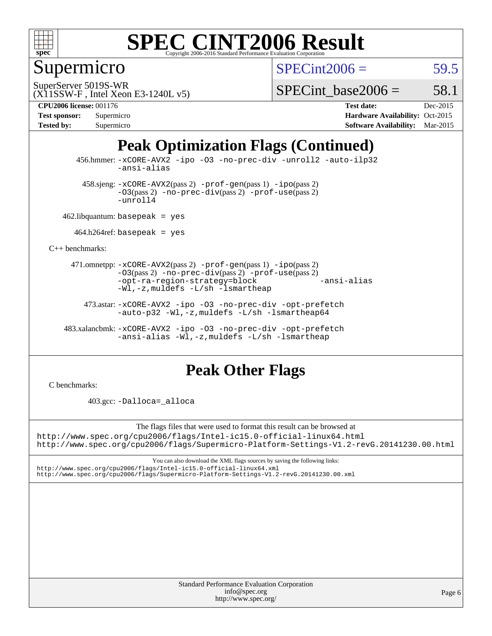

## Supermicro

 $SPECint2006 = 59.5$  $SPECint2006 = 59.5$ 

(X11SSW-F , Intel Xeon E3-1240L v5) SuperServer 5019S-WR

SPECint base2006 =  $58.1$ 

**[CPU2006 license:](http://www.spec.org/auto/cpu2006/Docs/result-fields.html#CPU2006license)** 001176 **[Test date:](http://www.spec.org/auto/cpu2006/Docs/result-fields.html#Testdate)** Dec-2015

| <b>Test sponsor:</b> | Supermicro |
|----------------------|------------|
| <b>Tested by:</b>    | Supermicro |

**[Hardware Availability:](http://www.spec.org/auto/cpu2006/Docs/result-fields.html#HardwareAvailability)** Oct-2015 **[Software Availability:](http://www.spec.org/auto/cpu2006/Docs/result-fields.html#SoftwareAvailability)** Mar-2015

## **[Peak Optimization Flags \(Continued\)](http://www.spec.org/auto/cpu2006/Docs/result-fields.html#PeakOptimizationFlags)**

 456.hmmer: [-xCORE-AVX2](http://www.spec.org/cpu2006/results/res2016q1/cpu2006-20151223-38504.flags.html#user_peakCOPTIMIZE456_hmmer_f-xAVX2_5f5fc0cbe2c9f62c816d3e45806c70d7) [-ipo](http://www.spec.org/cpu2006/results/res2016q1/cpu2006-20151223-38504.flags.html#user_peakCOPTIMIZE456_hmmer_f-ipo) [-O3](http://www.spec.org/cpu2006/results/res2016q1/cpu2006-20151223-38504.flags.html#user_peakCOPTIMIZE456_hmmer_f-O3) [-no-prec-div](http://www.spec.org/cpu2006/results/res2016q1/cpu2006-20151223-38504.flags.html#user_peakCOPTIMIZE456_hmmer_f-no-prec-div) [-unroll2](http://www.spec.org/cpu2006/results/res2016q1/cpu2006-20151223-38504.flags.html#user_peakCOPTIMIZE456_hmmer_f-unroll_784dae83bebfb236979b41d2422d7ec2) [-auto-ilp32](http://www.spec.org/cpu2006/results/res2016q1/cpu2006-20151223-38504.flags.html#user_peakCOPTIMIZE456_hmmer_f-auto-ilp32) [-ansi-alias](http://www.spec.org/cpu2006/results/res2016q1/cpu2006-20151223-38504.flags.html#user_peakCOPTIMIZE456_hmmer_f-ansi-alias)

 $458 \text{.}$ sjeng:  $-x \text{CORE-AVX2}(pass 2)$  -prof-qen(pass 1) [-ipo](http://www.spec.org/cpu2006/results/res2016q1/cpu2006-20151223-38504.flags.html#user_peakPASS2_CFLAGSPASS2_LDCFLAGS458_sjeng_f-ipo)(pass 2) [-O3](http://www.spec.org/cpu2006/results/res2016q1/cpu2006-20151223-38504.flags.html#user_peakPASS2_CFLAGSPASS2_LDCFLAGS458_sjeng_f-O3)(pass 2) [-no-prec-div](http://www.spec.org/cpu2006/results/res2016q1/cpu2006-20151223-38504.flags.html#user_peakPASS2_CFLAGSPASS2_LDCFLAGS458_sjeng_f-no-prec-div)(pass 2) [-prof-use](http://www.spec.org/cpu2006/results/res2016q1/cpu2006-20151223-38504.flags.html#user_peakPASS2_CFLAGSPASS2_LDCFLAGS458_sjeng_prof_use_bccf7792157ff70d64e32fe3e1250b55)(pass 2) [-unroll4](http://www.spec.org/cpu2006/results/res2016q1/cpu2006-20151223-38504.flags.html#user_peakCOPTIMIZE458_sjeng_f-unroll_4e5e4ed65b7fd20bdcd365bec371b81f)

462.libquantum: basepeak = yes

 $464.h264$ ref: basepeak = yes

[C++ benchmarks:](http://www.spec.org/auto/cpu2006/Docs/result-fields.html#CXXbenchmarks)

 471.omnetpp: [-xCORE-AVX2](http://www.spec.org/cpu2006/results/res2016q1/cpu2006-20151223-38504.flags.html#user_peakPASS2_CXXFLAGSPASS2_LDCXXFLAGS471_omnetpp_f-xAVX2_5f5fc0cbe2c9f62c816d3e45806c70d7)(pass 2) [-prof-gen](http://www.spec.org/cpu2006/results/res2016q1/cpu2006-20151223-38504.flags.html#user_peakPASS1_CXXFLAGSPASS1_LDCXXFLAGS471_omnetpp_prof_gen_e43856698f6ca7b7e442dfd80e94a8fc)(pass 1) [-ipo](http://www.spec.org/cpu2006/results/res2016q1/cpu2006-20151223-38504.flags.html#user_peakPASS2_CXXFLAGSPASS2_LDCXXFLAGS471_omnetpp_f-ipo)(pass 2) [-O3](http://www.spec.org/cpu2006/results/res2016q1/cpu2006-20151223-38504.flags.html#user_peakPASS2_CXXFLAGSPASS2_LDCXXFLAGS471_omnetpp_f-O3)(pass 2) [-no-prec-div](http://www.spec.org/cpu2006/results/res2016q1/cpu2006-20151223-38504.flags.html#user_peakPASS2_CXXFLAGSPASS2_LDCXXFLAGS471_omnetpp_f-no-prec-div)(pass 2) [-prof-use](http://www.spec.org/cpu2006/results/res2016q1/cpu2006-20151223-38504.flags.html#user_peakPASS2_CXXFLAGSPASS2_LDCXXFLAGS471_omnetpp_prof_use_bccf7792157ff70d64e32fe3e1250b55)(pass 2) [-opt-ra-region-strategy=block](http://www.spec.org/cpu2006/results/res2016q1/cpu2006-20151223-38504.flags.html#user_peakCXXOPTIMIZE471_omnetpp_f-opt-ra-region-strategy_5382940c29ea30302d682fc74bfe0147) [-ansi-alias](http://www.spec.org/cpu2006/results/res2016q1/cpu2006-20151223-38504.flags.html#user_peakCXXOPTIMIZE471_omnetpp_f-ansi-alias) [-Wl,-z,muldefs](http://www.spec.org/cpu2006/results/res2016q1/cpu2006-20151223-38504.flags.html#user_peakEXTRA_LDFLAGS471_omnetpp_link_force_multiple1_74079c344b956b9658436fd1b6dd3a8a) [-L/sh -lsmartheap](http://www.spec.org/cpu2006/results/res2016q1/cpu2006-20151223-38504.flags.html#user_peakEXTRA_LIBS471_omnetpp_SmartHeap_32f6c82aa1ed9c52345d30cf6e4a0499)

 473.astar: [-xCORE-AVX2](http://www.spec.org/cpu2006/results/res2016q1/cpu2006-20151223-38504.flags.html#user_peakCXXOPTIMIZE473_astar_f-xAVX2_5f5fc0cbe2c9f62c816d3e45806c70d7) [-ipo](http://www.spec.org/cpu2006/results/res2016q1/cpu2006-20151223-38504.flags.html#user_peakCXXOPTIMIZE473_astar_f-ipo) [-O3](http://www.spec.org/cpu2006/results/res2016q1/cpu2006-20151223-38504.flags.html#user_peakCXXOPTIMIZE473_astar_f-O3) [-no-prec-div](http://www.spec.org/cpu2006/results/res2016q1/cpu2006-20151223-38504.flags.html#user_peakCXXOPTIMIZE473_astar_f-no-prec-div) [-opt-prefetch](http://www.spec.org/cpu2006/results/res2016q1/cpu2006-20151223-38504.flags.html#user_peakCXXOPTIMIZE473_astar_f-opt-prefetch) [-auto-p32](http://www.spec.org/cpu2006/results/res2016q1/cpu2006-20151223-38504.flags.html#user_peakCXXOPTIMIZE473_astar_f-auto-p32) -Wl,-z, muldefs [-L/sh -lsmartheap64](http://www.spec.org/cpu2006/results/res2016q1/cpu2006-20151223-38504.flags.html#user_peakEXTRA_LIBS473_astar_SmartHeap64_ed4ef857ce90951921efb0d91eb88472)

 483.xalancbmk: [-xCORE-AVX2](http://www.spec.org/cpu2006/results/res2016q1/cpu2006-20151223-38504.flags.html#user_peakCXXOPTIMIZE483_xalancbmk_f-xAVX2_5f5fc0cbe2c9f62c816d3e45806c70d7) [-ipo](http://www.spec.org/cpu2006/results/res2016q1/cpu2006-20151223-38504.flags.html#user_peakCXXOPTIMIZE483_xalancbmk_f-ipo) [-O3](http://www.spec.org/cpu2006/results/res2016q1/cpu2006-20151223-38504.flags.html#user_peakCXXOPTIMIZE483_xalancbmk_f-O3) [-no-prec-div](http://www.spec.org/cpu2006/results/res2016q1/cpu2006-20151223-38504.flags.html#user_peakCXXOPTIMIZE483_xalancbmk_f-no-prec-div) [-opt-prefetch](http://www.spec.org/cpu2006/results/res2016q1/cpu2006-20151223-38504.flags.html#user_peakCXXOPTIMIZE483_xalancbmk_f-opt-prefetch) [-ansi-alias](http://www.spec.org/cpu2006/results/res2016q1/cpu2006-20151223-38504.flags.html#user_peakCXXOPTIMIZE483_xalancbmk_f-ansi-alias) [-Wl,-z,muldefs](http://www.spec.org/cpu2006/results/res2016q1/cpu2006-20151223-38504.flags.html#user_peakEXTRA_LDFLAGS483_xalancbmk_link_force_multiple1_74079c344b956b9658436fd1b6dd3a8a) [-L/sh -lsmartheap](http://www.spec.org/cpu2006/results/res2016q1/cpu2006-20151223-38504.flags.html#user_peakEXTRA_LIBS483_xalancbmk_SmartHeap_32f6c82aa1ed9c52345d30cf6e4a0499)

### **[Peak Other Flags](http://www.spec.org/auto/cpu2006/Docs/result-fields.html#PeakOtherFlags)**

[C benchmarks](http://www.spec.org/auto/cpu2006/Docs/result-fields.html#Cbenchmarks):

403.gcc: [-Dalloca=\\_alloca](http://www.spec.org/cpu2006/results/res2016q1/cpu2006-20151223-38504.flags.html#b403.gcc_peakEXTRA_CFLAGS_Dalloca_be3056838c12de2578596ca5467af7f3)

The flags files that were used to format this result can be browsed at

<http://www.spec.org/cpu2006/flags/Intel-ic15.0-official-linux64.html> <http://www.spec.org/cpu2006/flags/Supermicro-Platform-Settings-V1.2-revG.20141230.00.html>

You can also download the XML flags sources by saving the following links: <http://www.spec.org/cpu2006/flags/Intel-ic15.0-official-linux64.xml> <http://www.spec.org/cpu2006/flags/Supermicro-Platform-Settings-V1.2-revG.20141230.00.xml>